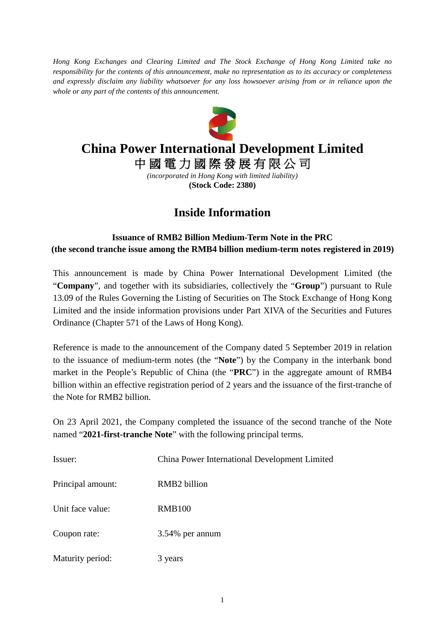*Hong Kong Exchanges and Clearing Limited and The Stock Exchange of Hong Kong Limited take no responsibility for the contents of this announcement, make no representation as to its accuracy or completeness and expressly disclaim any liability whatsoever for any loss howsoever arising from or in reliance upon the whole or any part of the contents of this announcement.*



## **China Power International Development Limited**

中 國 電 力 國 際 發 展 有 限 公 司

*(incorporated in Hong Kong with limited liability)* **(Stock Code: 2380)**

## **Inside Information**

## **Issuance of RMB2 Billion Medium-Term Note in the PRC (the second tranche issue among the RMB4 billion medium-term notes registered in 2019)**

This announcement is made by China Power International Development Limited (the "**Company**", and together with its subsidiaries, collectively the "**Group**") pursuant to Rule 13.09 of the Rules Governing the Listing of Securities on The Stock Exchange of Hong Kong Limited and the inside information provisions under Part XIVA of the Securities and Futures Ordinance (Chapter 571 of the Laws of Hong Kong).

Reference is made to the announcement of the Company dated 5 September 2019 in relation to the issuance of medium-term notes (the "**Note**") by the Company in the interbank bond market in the People's Republic of China (the "**PRC**") in the aggregate amount of RMB4 billion within an effective registration period of 2 years and the issuance of the first-tranche of the Note for RMB2 billion.

On 23 April 2021, the Company completed the issuance of the second tranche of the Note named "**2021-first-tranche Note**" with the following principal terms.

| Issuer:           | China Power International Development Limited |
|-------------------|-----------------------------------------------|
| Principal amount: | RMB <sub>2</sub> billion                      |
| Unit face value:  | <b>RMB100</b>                                 |
| Coupon rate:      | 3.54% per annum                               |
| Maturity period:  | 3 years                                       |